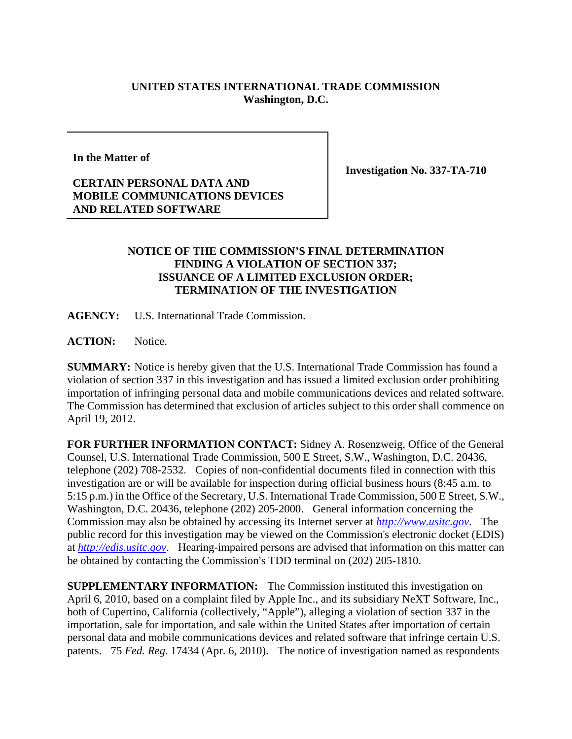## **UNITED STATES INTERNATIONAL TRADE COMMISSION Washington, D.C.**

**In the Matter of** 

**Investigation No. 337-TA-710** 

## **CERTAIN PERSONAL DATA AND MOBILE COMMUNICATIONS DEVICES AND RELATED SOFTWARE**

## **NOTICE OF THE COMMISSION'S FINAL DETERMINATION FINDING A VIOLATION OF SECTION 337; ISSUANCE OF A LIMITED EXCLUSION ORDER; TERMINATION OF THE INVESTIGATION**

**AGENCY:** U.S. International Trade Commission.

**ACTION:** Notice.

**SUMMARY:** Notice is hereby given that the U.S. International Trade Commission has found a violation of section 337 in this investigation and has issued a limited exclusion order prohibiting importation of infringing personal data and mobile communications devices and related software. The Commission has determined that exclusion of articles subject to this order shall commence on April 19, 2012.

**FOR FURTHER INFORMATION CONTACT:** Sidney A. Rosenzweig, Office of the General Counsel, U.S. International Trade Commission, 500 E Street, S.W., Washington, D.C. 20436, telephone (202) 708-2532. Copies of non-confidential documents filed in connection with this investigation are or will be available for inspection during official business hours (8:45 a.m. to 5:15 p.m.) in the Office of the Secretary, U.S. International Trade Commission, 500 E Street, S.W., Washington, D.C. 20436, telephone (202) 205-2000. General information concerning the Commission may also be obtained by accessing its Internet server at *http://www.usitc.gov*. The public record for this investigation may be viewed on the Commission's electronic docket (EDIS) at *http://edis.usitc.gov*. Hearing-impaired persons are advised that information on this matter can be obtained by contacting the Commission's TDD terminal on (202) 205-1810.

**SUPPLEMENTARY INFORMATION:** The Commission instituted this investigation on April 6, 2010, based on a complaint filed by Apple Inc., and its subsidiary NeXT Software, Inc., both of Cupertino, California (collectively, "Apple"), alleging a violation of section 337 in the importation, sale for importation, and sale within the United States after importation of certain personal data and mobile communications devices and related software that infringe certain U.S. patents. 75 *Fed. Reg.* 17434 (Apr. 6, 2010). The notice of investigation named as respondents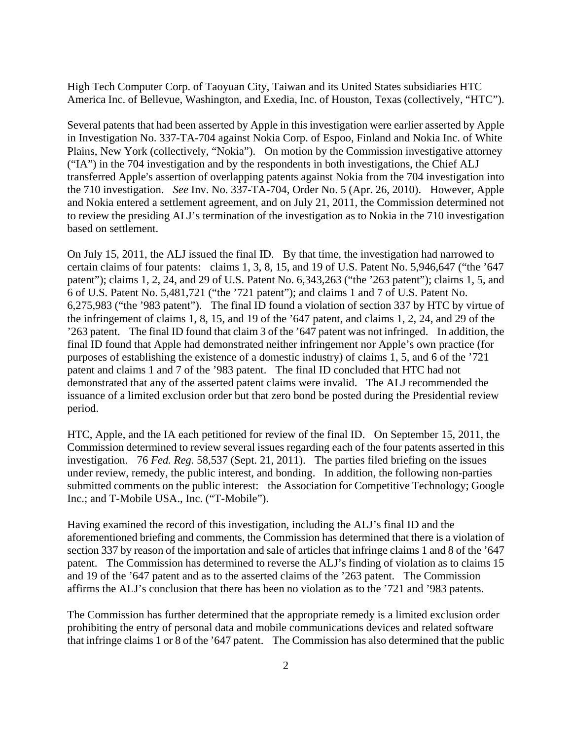High Tech Computer Corp. of Taoyuan City, Taiwan and its United States subsidiaries HTC America Inc. of Bellevue, Washington, and Exedia, Inc. of Houston, Texas (collectively, "HTC").

Several patents that had been asserted by Apple in this investigation were earlier asserted by Apple in Investigation No. 337-TA-704 against Nokia Corp. of Espoo, Finland and Nokia Inc. of White Plains, New York (collectively, "Nokia"). On motion by the Commission investigative attorney ("IA") in the 704 investigation and by the respondents in both investigations, the Chief ALJ transferred Apple's assertion of overlapping patents against Nokia from the 704 investigation into the 710 investigation. *See* Inv. No. 337-TA-704, Order No. 5 (Apr. 26, 2010). However, Apple and Nokia entered a settlement agreement, and on July 21, 2011, the Commission determined not to review the presiding ALJ's termination of the investigation as to Nokia in the 710 investigation based on settlement.

On July 15, 2011, the ALJ issued the final ID. By that time, the investigation had narrowed to certain claims of four patents: claims 1, 3, 8, 15, and 19 of U.S. Patent No. 5,946,647 ("the '647 patent"); claims 1, 2, 24, and 29 of U.S. Patent No. 6,343,263 ("the '263 patent"); claims 1, 5, and 6 of U.S. Patent No. 5,481,721 ("the '721 patent"); and claims 1 and 7 of U.S. Patent No. 6,275,983 ("the '983 patent"). The final ID found a violation of section 337 by HTC by virtue of the infringement of claims 1, 8, 15, and 19 of the '647 patent, and claims 1, 2, 24, and 29 of the '263 patent. The final ID found that claim 3 of the '647 patent was not infringed. In addition, the final ID found that Apple had demonstrated neither infringement nor Apple's own practice (for purposes of establishing the existence of a domestic industry) of claims 1, 5, and 6 of the '721 patent and claims 1 and 7 of the '983 patent. The final ID concluded that HTC had not demonstrated that any of the asserted patent claims were invalid. The ALJ recommended the issuance of a limited exclusion order but that zero bond be posted during the Presidential review period.

HTC, Apple, and the IA each petitioned for review of the final ID. On September 15, 2011, the Commission determined to review several issues regarding each of the four patents asserted in this investigation. 76 *Fed. Reg.* 58,537 (Sept. 21, 2011). The parties filed briefing on the issues under review, remedy, the public interest, and bonding. In addition, the following non-parties submitted comments on the public interest: the Association for Competitive Technology; Google Inc.; and T-Mobile USA., Inc. ("T-Mobile").

Having examined the record of this investigation, including the ALJ's final ID and the aforementioned briefing and comments, the Commission has determined that there is a violation of section 337 by reason of the importation and sale of articles that infringe claims 1 and 8 of the '647 patent. The Commission has determined to reverse the ALJ's finding of violation as to claims 15 and 19 of the '647 patent and as to the asserted claims of the '263 patent. The Commission affirms the ALJ's conclusion that there has been no violation as to the '721 and '983 patents.

The Commission has further determined that the appropriate remedy is a limited exclusion order prohibiting the entry of personal data and mobile communications devices and related software that infringe claims 1 or 8 of the '647 patent. The Commission has also determined that the public